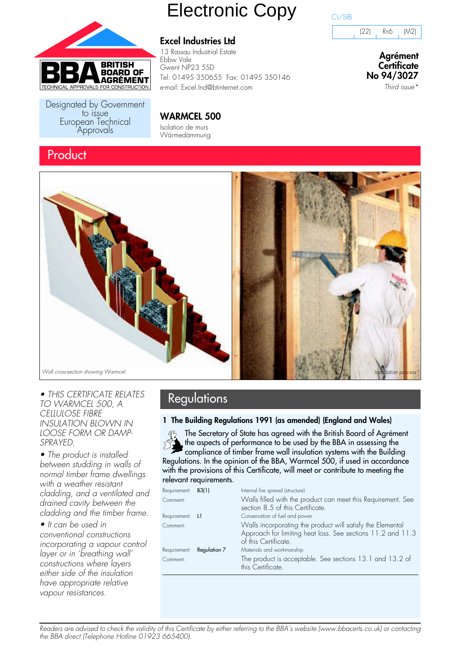

Designated by Government<br>to issue European Technical Approvals

# **Excel Industries Ltd**

**WARMCEL 500** Isolation de murs Wärmedämmung

13 Rassau Industrial Estate Ebbw Vale Gwent NP23 5SD Tel: 01495 350655 Fax: 01495 350146 e-mail: Excel.Ind@btinternet.com

Electronic Copy



(22) Rn6 (M2)

**Agrément Certificate No 94/3027**

Third issue\*





• THIS CERTIFICATE RELATES Regulations TO WARMCEL 500, A CELLULOSE FIBRE INSULATION BLOWN IN LOOSE FORM OR DAMP-SPRAYED.

• The product is installed between studding in walls of normal timber frame dwellings with a weather resistant cladding, and a ventilated and drained cavity between the cladding and the timber frame.

• It can be used in conventional constructions incorporating a vapour control layer or in 'breathing wall' constructions where layers either side of the insulation have appropriate relative vapour resistances.

#### **1 The Building Regulations 1991 (as amended) (England and Wales)**

The Secretary of State has agreed with the British Board of Agrément the aspects of performance to be used by the BBA in assessing the compliance of timber frame wall insulation systems with the Building Regulations. In the opinion of the BBA, Warmcel 500, if used in accordance with the provisions of this Certificate, will meet or contribute to meeting the relevant requirements.

| Requirement: <b>B3(1)</b> |                                  | Internal fire spread (structure)                                                                                                                  |
|---------------------------|----------------------------------|---------------------------------------------------------------------------------------------------------------------------------------------------|
| Comment:                  |                                  | Walls filled with the product can meet this Requirement. See<br>section 8.5 of this Certificate.                                                  |
| Requirement: L1           |                                  | Conservation of fuel and power                                                                                                                    |
| Comment:                  |                                  | Walls incorporating the product will satisfy the Elemental<br>Approach for limiting heat loss. See sections 11.2 and 11.3<br>of this Certificate. |
|                           | Requirement: <b>Regulation 7</b> | Materials and workmanship                                                                                                                         |
| Comment:                  |                                  | The product is acceptable. See sections 13.1 and 13.2 of<br>this Certificate.                                                                     |

Readers are advised to check the validity of this Certificate by either referring to the BBA's website (www.bbacerts.co.uk) or contacting the BBA direct (Telephone Hotline 01923 665400).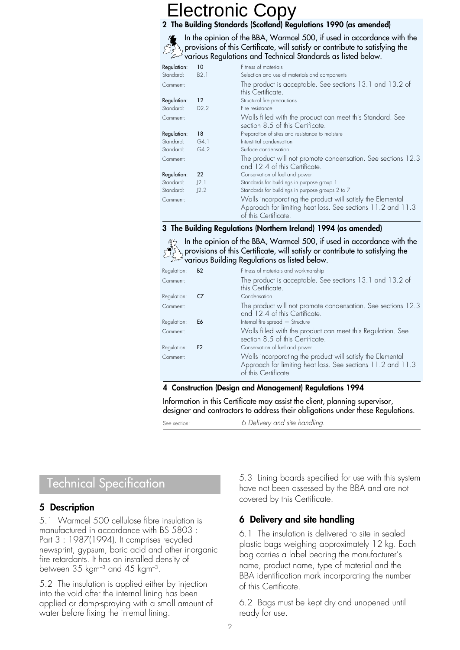#### **2 The Building Standards (Scotland) Regulations 1990 (as amended)**

In the opinion of the BBA, Warmcel 500, if used in accordance with the provisions of this Certificate, will satisfy or contribute to satisfying the various Regulations and Technical Standards as listed below.

| Regulation:<br>Standard: | 10<br>B2.1    | Fitness of materials<br>Selection and use of materials and components                                                                             |
|--------------------------|---------------|---------------------------------------------------------------------------------------------------------------------------------------------------|
| Comment:                 |               | The product is acceptable. See sections 13.1 and 13.2 of<br>this Certificate.                                                                     |
| Regulation:              | 12            | Structural fire precautions                                                                                                                       |
| Standard:                | D2.2          | Fire resistance                                                                                                                                   |
| Comment:                 |               | Walls filled with the product can meet this Standard. See<br>section 8.5 of this Certificate.                                                     |
| Regulation:              | 18            | Preparation of sites and resistance to moisture                                                                                                   |
| Standard:                | G4.1          | Interstitial condensation                                                                                                                         |
| Standard:                | G4.2          | Surface condensation                                                                                                                              |
| Comment:                 |               | The product will not promote condensation. See sections 12.3<br>and 12.4 of this Certificate.                                                     |
| Regulation:              | 22            | Conservation of fuel and power                                                                                                                    |
| Standard:                | $\lfloor 2.1$ | Standards for buildings in purpose group 1.                                                                                                       |
| Standard:                | J2.2          | Standards for buildings in purpose groups 2 to 7.                                                                                                 |
| Comment:                 |               | Walls incorporating the product will satisfy the Elemental<br>Approach for limiting heat loss. See sections 11.2 and 11.3<br>of this Certificate. |

#### **3 The Building Regulations (Northern Ireland) 1994 (as amended)**

 $\mathbb{Z}_2$  In the opinion of the BBA, Warmcel 500, if used in accordance with the provisions of this Certificate, will satisfy or contribute to satisfying the various Building Regulations as listed below.

| Regulation: | <b>B2</b>      | Fitness of materials and workmanship                                                                                                              |
|-------------|----------------|---------------------------------------------------------------------------------------------------------------------------------------------------|
| Comment:    |                | The product is acceptable. See sections 13.1 and 13.2 of<br>this Certificate.                                                                     |
| Regulation: | C7             | Condensation                                                                                                                                      |
| Comment:    |                | The product will not promote condensation. See sections 12.3<br>and 12.4 of this Certificate.                                                     |
| Regulation: | E6             | Internal fire spread - Structure                                                                                                                  |
| Comment:    |                | Walls filled with the product can meet this Regulation. See<br>section 8.5 of this Certificate.                                                   |
| Regulation: | F <sub>2</sub> | Conservation of fuel and power                                                                                                                    |
| Comment:    |                | Walls incorporating the product will satisfy the Elemental<br>Approach for limiting heat loss. See sections 11.2 and 11.3<br>of this Certificate. |
|             |                |                                                                                                                                                   |

#### **4 Construction (Design and Management) Regulations 1994**

Information in this Certificate may assist the client, planning supervisor, designer and contractors to address their obligations under these Regulations.

See section: 6 Delivery and site handling.

# Technical Specification

#### **5 Description**

5.1 Warmcel 500 cellulose fibre insulation is manufactured in accordance with BS 5803 : Part 3 : 1987(1994). It comprises recycled newsprint, gypsum, boric acid and other inorganic fire retardants. It has an installed density of between  $35 \ \mathrm{kgm^{-3}}$  and  $45 \ \mathrm{kgm^{-3}}$ .

5.2 The insulation is applied either by injection into the void after the internal lining has been applied or damp-spraying with a small amount of water before fixing the internal lining.

5.3 Lining boards specified for use with this system have not been assessed by the BBA and are not covered by this Certificate.

#### **6 Delivery and site handling**

6.1 The insulation is delivered to site in sealed plastic bags weighing approximately 12 kg. Each bag carries a label bearing the manufacturer's name, product name, type of material and the BBA identification mark incorporating the number of this Certificate.

6.2 Bags must be kept dry and unopened until ready for use.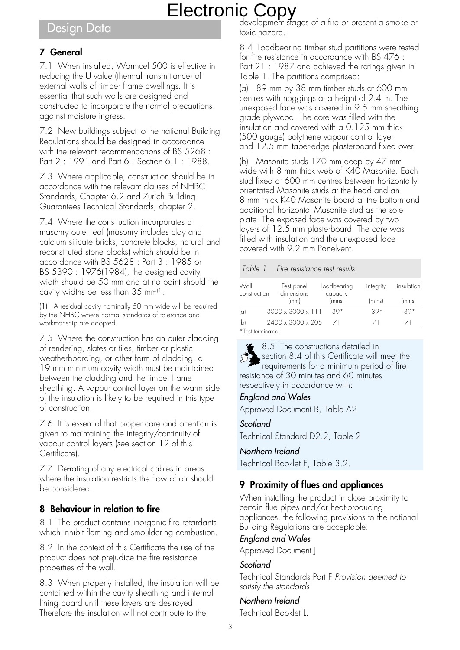# Design Data

### **7 General**

7.1 When installed, Warmcel 500 is effective in reducing the U value (thermal transmittance) of external walls of timber frame dwellings. It is essential that such walls are designed and constructed to incorporate the normal precautions against moisture ingress.

7.2 New buildings subject to the national Building Regulations should be designed in accordance with the relevant recommendations of BS 5268 : Part 2 : 1991 and Part 6 : Section 6.1 : 1988.

7.3 Where applicable, construction should be in accordance with the relevant clauses of NHBC Standards, Chapter 6.2 and Zurich Building Guarantees Technical Standards, chapter 2.

7.4 Where the construction incorporates a masonry outer leaf (masonry includes clay and calcium silicate bricks, concrete blocks, natural and reconstituted stone blocks) which should be in accordance with BS 5628 : Part 3 : 1985 or BS 5390 : 1976(1984), the designed cavity width should be 50 mm and at no point should the cavity widths be less than 35 mm<sup>(1)</sup>.

(1) A residual cavity nominally 50 mm wide will be required by the NHBC where normal standards of tolerance and workmanship are adopted.

7.5 Where the construction has an outer cladding of rendering, slates or tiles, timber or plastic weatherboarding, or other form of cladding, a 19 mm minimum cavity width must be maintained between the cladding and the timber frame sheathing. A vapour control layer on the warm side of the insulation is likely to be required in this type of construction.

7.6 It is essential that proper care and attention is given to maintaining the integrity/continuity of vapour control layers (see section 12 of this Certificate).

7.7 De-rating of any electrical cables in areas where the insulation restricts the flow of air should be considered.

#### **8 Behaviour in relation to fire**

8.1 The product contains inorganic fire retardants which inhibit flaming and smouldering combustion.

8.2 In the context of this Certificate the use of the product does not prejudice the fire resistance properties of the wall.

8.3 When properly installed, the insulation will be contained within the cavity sheathing and internal lining board until these layers are destroyed. Therefore the insulation will not contribute to the

development stages of a fire or present a smoke or toxic hazard.

8.4 Loadbearing timber stud partitions were tested for fire resistance in accordance with BS 476 : Part 21 : 1987 and achieved the ratings given in Table 1. The partitions comprised:

(a) 89 mm by 38 mm timber studs at 600 mm centres with noggings at a height of 2.4 m. The unexposed face was covered in 9.5 mm sheathing grade plywood. The core was filled with the insulation and covered with a 0.125 mm thick (500 gauge) polythene vapour control layer and 12.5 mm taper-edge plasterboard fixed over.

(b) Masonite studs 170 mm deep by 47 mm wide with 8 mm thick web of K40 Masonite. Each stud fixed at 600 mm centres between horizontally orientated Masonite studs at the head and an 8 mm thick K40 Masonite board at the bottom and additional horizontal Masonite stud as the sole plate. The exposed face was covered by two layers of 12.5 mm plasterboard. The core was filled with insulation and the unexposed face covered with 9.2 mm Panelvent.

#### Table 1 Fire resistance test results

| Wall<br>construction |  | Test panel<br>dimensions      | Loadbearing<br>capacity |          | integrity | insulation |
|----------------------|--|-------------------------------|-------------------------|----------|-----------|------------|
|                      |  | (mm)                          |                         | (mins)   | (mins)    | (mins)     |
| $\alpha$             |  | $3000 \times 3000 \times 111$ |                         | $39*$    | $39*$     | $39*$      |
| (b)                  |  | $2400 \times 3000 \times 205$ |                         | $\angle$ | $\angle$  |            |

\*Test terminated.

8.5 The constructions detailed in section 8.4 of this Certificate will meet the requirements for a minimum period of fire resistance of 30 minutes and 60 minutes respectively in accordance with:

#### England and Wales

Approved Document B, Table A2

#### **Scotland**

Technical Standard D2.2, Table 2

#### Northern Ireland

Technical Booklet E, Table 3.2.

#### **9 Proximity of flues and appliances**

When installing the product in close proximity to certain flue pipes and/or heat-producing appliances, the following provisions to the national Building Regulations are acceptable:

#### England and Wales

Approved Document J

#### Scotland

Technical Standards Part F Provision deemed to satisfy the standards

#### Northern Ireland

Technical Booklet L.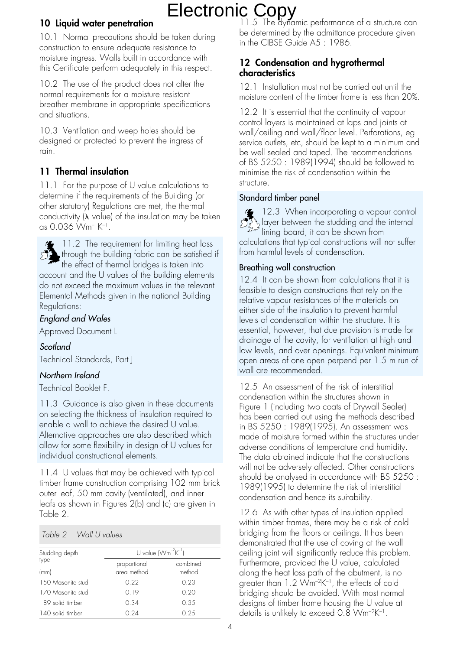### **10 Liquid water penetration**

10.1 Normal precautions should be taken during construction to ensure adequate resistance to moisture ingress. Walls built in accordance with this Certificate perform adequately in this respect.

10.2 The use of the product does not alter the normal requirements for a moisture resistant breather membrane in appropriate specifications and situations.

10.3 Ventilation and weep holes should be designed or protected to prevent the ingress of rain.

## **11 Thermal insulation**

11.1 For the purpose of U value calculations to determine if the requirements of the Building (or other statutory) Regulations are met, the thermal conductivity  $(\lambda \text{ value})$  of the insulation may be taken as 0.036 Wm–1K–1.



 $\bullet$  11.2 The requirement for limiting heat loss through the building fabric can be satisfied if the effect of thermal bridges is taken into

account and the U values of the building elements do not exceed the maximum values in the relevant Elemental Methods given in the national Building Regulations:

### England and Wales

Approved Document L

#### **Scotland**

Technical Standards, Part J

#### Northern Ireland

Technical Booklet F.

11.3 Guidance is also given in these documents on selecting the thickness of insulation required to enable a wall to achieve the desired U value. Alternative approaches are also described which allow for some flexibility in design of U values for individual constructional elements.

11.4 U values that may be achieved with typical timber frame construction comprising 102 mm brick outer leaf, 50 mm cavity (ventilated), and inner leafs as shown in Figures 2(b) and (c) are given in Table 2.

#### Table 2 Wall U values

| Studding depth    | U value $(Wm^{-2}K^{-1})$   |                    |
|-------------------|-----------------------------|--------------------|
| type<br>(mm)      | proportional<br>area method | combined<br>method |
| 150 Masonite stud | 0.22                        | 0.23               |
| 170 Masonite stud | 0.19                        | 0.20               |
| 89 solid timber   | 0.34                        | 0.35               |
| 140 solid timber  | 0.24                        | 0.25               |

11.5 The dynamic performance of a structure can be determined by the admittance procedure given in the CIBSE Guide A5 : 1986.

#### **12 Condensation and hygrothermal characteristics**

12.1 Installation must not be carried out until the moisture content of the timber frame is less than 20%.

12.2 It is essential that the continuity of vapour control layers is maintained at laps and joints at wall/ceiling and wall/floor level. Perforations, eg service outlets, etc, should be kept to a minimum and be well sealed and taped. The recommendations of BS 5250 : 1989(1994) should be followed to minimise the risk of condensation within the structure.

#### Standard timber panel

12.3 When incorporating a vapour control layer between the studding and the internal  $\begin{bmatrix} 1 & 0 & 0 \\ 0 & 1 & 0 \\ 0 & 0 & 1 \end{bmatrix}$  layer between the shown from shown from small in the shown from calculations that typical constructions will not suffer from harmful levels of condensation.

#### Breathing wall construction

12.4 It can be shown from calculations that it is feasible to design constructions that rely on the relative vapour resistances of the materials on either side of the insulation to prevent harmful levels of condensation within the structure. It is essential, however, that due provision is made for drainage of the cavity, for ventilation at high and low levels, and over openings. Equivalent minimum open areas of one open perpend per 1.5 m run of wall are recommended.

12.5 An assessment of the risk of interstitial condensation within the structures shown in Figure 1 (including two coats of Drywall Sealer) has been carried out using the methods described in BS 5250 : 1989(1995). An assessment was made of moisture formed within the structures under adverse conditions of temperature and humidity. The data obtained indicate that the constructions will not be adversely affected. Other constructions should be analysed in accordance with BS 5250 : 1989(1995) to determine the risk of interstitial condensation and hence its suitability.

12.6 As with other types of insulation applied within timber frames, there may be a risk of cold bridging from the floors or ceilings. It has been demonstrated that the use of coving at the wall ceiling joint will significantly reduce this problem. Furthermore, provided the U value, calculated along the heat loss path of the abutment, is no greater than 1.2 Wm<sup>-2</sup>K<sup>-1</sup>, the effects of cold bridging should be avoided. With most normal designs of timber frame housing the U value at details is unlikely to exceed 0.8 Wm–2K–1.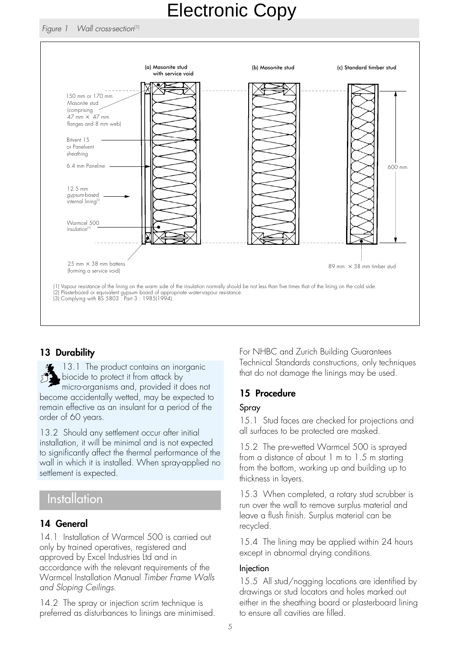

### **13 Durability**

13.1 The product contains an inorganic biocide to protect it from attack by micro-organisms and, provided it does not become accidentally wetted, may be expected to remain effective as an insulant for a period of the order of 60 years.

13.2 Should any settlement occur after initial installation, it will be minimal and is not expected to significantly affect the thermal performance of the wall in which it is installed. When spray-applied no settlement is expected.

# Installation

#### **14 General**

14.1 Installation of Warmcel 500 is carried out only by trained operatives, registered and approved by Excel Industries Ltd and in accordance with the relevant requirements of the Warmcel Installation Manual Timber Frame Walls and Sloping Ceilings.

14.2 The spray or injection scrim technique is preferred as disturbances to linings are minimised. For NHBC and Zurich Building Guarantees Technical Standards constructions, only techniques that do not damage the linings may be used.

### **15 Procedure**

#### Spray

15.1 Stud faces are checked for projections and all surfaces to be protected are masked.

15.2 The pre-wetted Warmcel 500 is sprayed from a distance of about 1 m to 1.5 m starting from the bottom, working up and building up to thickness in layers.

15.3 When completed, a rotary stud scrubber is run over the wall to remove surplus material and leave a flush finish. Surplus material can be recycled.

15.4 The lining may be applied within 24 hours except in abnormal drying conditions.

#### Injection

15.5 All stud/nogging locations are identified by drawings or stud locators and holes marked out either in the sheathing board or plasterboard lining to ensure all cavities are filled.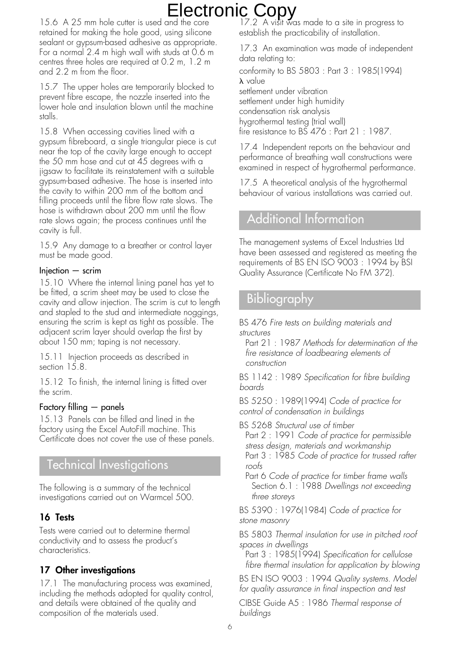15.6 A 25 mm hole cutter is used and the core retained for making the hole good, using silicone sealant or gypsum-based adhesive as appropriate. For a normal 2.4 m high wall with studs at 0.6 m centres three holes are required at 0.2 m, 1.2 m and 2.2 m from the floor.

15.7 The upper holes are temporarily blocked to prevent fibre escape, the nozzle inserted into the lower hole and insulation blown until the machine stalls.

15.8 When accessing cavities lined with a gypsum fibreboard, a single triangular piece is cut near the top of the cavity large enough to accept the 50 mm hose and cut at 45 degrees with a jigsaw to facilitate its reinstatement with a suitable gypsum-based adhesive. The hose is inserted into the cavity to within 200 mm of the bottom and filling proceeds until the fibre flow rate slows. The hose is withdrawn about 200 mm until the flow rate slows again; the process continues until the cavity is full.

15.9 Any damage to a breather or control layer must be made good.

#### $Injection - scrim$

15.10 Where the internal lining panel has yet to be fitted, a scrim sheet may be used to close the cavity and allow injection. The scrim is cut to length and stapled to the stud and intermediate noggings, ensuring the scrim is kept as tight as possible. The adjacent scrim layer should overlap the first by about 150 mm; taping is not necessary.

15.11 Injection proceeds as described in section 15.8.

15.12 To finish, the internal lining is fitted over the scrim.

#### Factory filling — panels

15.13 Panels can be filled and lined in the factory using the Excel AutoFill machine. This Certificate does not cover the use of these panels.

# Technical Investigations

The following is a summary of the technical investigations carried out on Warmcel 500.

#### **16 Tests**

Tests were carried out to determine thermal conductivity and to assess the product's characteristics.

### **17 Other investigations**

17.1 The manufacturing process was examined, including the methods adopted for quality control, and details were obtained of the quality and composition of the materials used.

17.2 A visit was made to a site in progress to establish the practicability of installation.

17.3 An examination was made of independent data relating to: conformity to BS 5803 : Part 3 : 1985(1994)  $\lambda$  value settlement under vibration settlement under high humidity condensation risk analysis hygrothermal testing (trial wall) fire resistance to BS 476 : Part 21 : 1987.

17.4 Independent reports on the behaviour and performance of breathing wall constructions were examined in respect of hygrothermal performance.

17.5 A theoretical analysis of the hygrothermal behaviour of various installations was carried out.

# Additional Information

The management systems of Excel Industries Ltd have been assessed and registered as meeting the requirements of BS EN ISO 9003 : 1994 by BSI Quality Assurance (Certificate No FM 372).

# Bibliography

BS 476 Fire tests on building materials and structures

Part 21 : 1987 Methods for determination of the fire resistance of loadbearing elements of construction

BS 1142 : 1989 Specification for fibre building boards

BS 5250 : 1989(1994) Code of practice for control of condensation in buildings

BS 5268 Structural use of timber

Part 2 : 1991 Code of practice for permissible stress design, materials and workmanship Part 3 : 1985 Code of practice for trussed rafter roofs

Part 6 Code of practice for timber frame walls Section 6.1 : 1988 Dwellings not exceeding three storeys

BS 5390 : 1976(1984) Code of practice for stone masonry

BS 5803 Thermal insulation for use in pitched roof spaces in dwellings

Part 3 : 1985(1994) Specification for cellulose fibre thermal insulation for application by blowing

BS EN ISO 9003 : 1994 Quality systems. Model for quality assurance in final inspection and test

CIBSE Guide A5 : 1986 Thermal response of buildings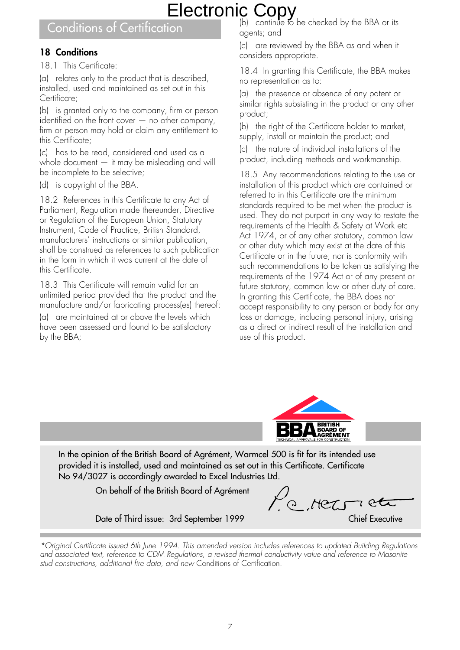# Conditions of Certification

### **18 Conditions**

18.1 This Certificate:

(a) relates only to the product that is described, installed, used and maintained as set out in this Certificate;

(b) is granted only to the company, firm or person identified on the front cover  $-$  no other company, firm or person may hold or claim any entitlement to this Certificate;

(c) has to be read, considered and used as a whole document — it may be misleading and will be incomplete to be selective;

(d) is copyright of the BBA.

18.2 References in this Certificate to any Act of Parliament, Regulation made thereunder, Directive or Regulation of the European Union, Statutory Instrument, Code of Practice, British Standard, manufacturers' instructions or similar publication, shall be construed as references to such publication in the form in which it was current at the date of this Certificate.

18.3 This Certificate will remain valid for an unlimited period provided that the product and the manufacture and/or fabricating process(es) thereof:

(a) are maintained at or above the levels which have been assessed and found to be satisfactory by the BBA;

(b) continue to be checked by the BBA or its agents; and

(c) are reviewed by the BBA as and when it considers appropriate.

18.4 In granting this Certificate, the BBA makes no representation as to:

(a) the presence or absence of any patent or similar rights subsisting in the product or any other product;

(b) the right of the Certificate holder to market, supply, install or maintain the product; and

(c) the nature of individual installations of the product, including methods and workmanship.

18.5 Any recommendations relating to the use or installation of this product which are contained or referred to in this Certificate are the minimum standards required to be met when the product is used. They do not purport in any way to restate the requirements of the Health & Safety at Work etc Act 1974, or of any other statutory, common law or other duty which may exist at the date of this Certificate or in the future; nor is conformity with such recommendations to be taken as satisfying the requirements of the 1974 Act or of any present or future statutory, common law or other duty of care. In granting this Certificate, the BBA does not accept responsibility to any person or body for any loss or damage, including personal injury, arising as a direct or indirect result of the installation and use of this product.



In the opinion of the British Board of Agrément, Warmcel 500 is fit for its intended use provided it is installed, used and maintained as set out in this Certificate. Certificate No 94/3027 is accordingly awarded to Excel Industries Ltd.

On behalf of the British Board of Agrément

Me rec  $7$  PC

Date of Third issue: 3rd September 1999 Chief Executive

<sup>\*</sup>Original Certificate issued 6th June 1994. This amended version includes references to updated Building Regulations and associated text, reference to CDM Regulations, a revised thermal conductivity value and reference to Masonite stud constructions, additional fire data, and new Conditions of Certification.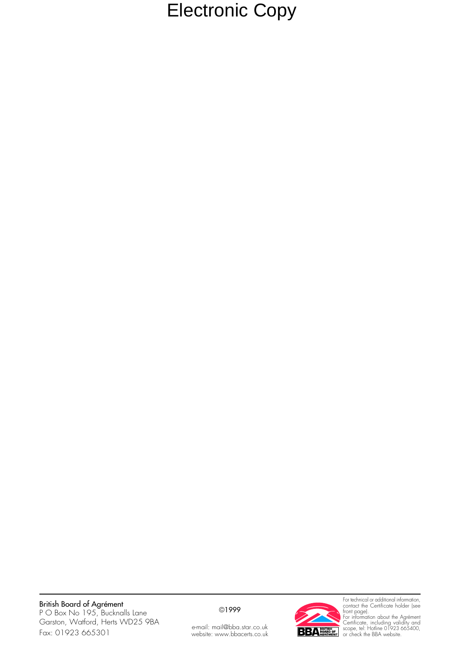### British Board of Agrément

P O Box No 195, Bucknalls Lane Garston, Watford, Herts WD25 9BA Fax: 01923 665301

#### ©1999





For technical or additional information, contact the Certificate holder (see front page). For information about the Agrément Certificate, including validity and scope, tel: Hotline 01923 665400, or check the BBA website.